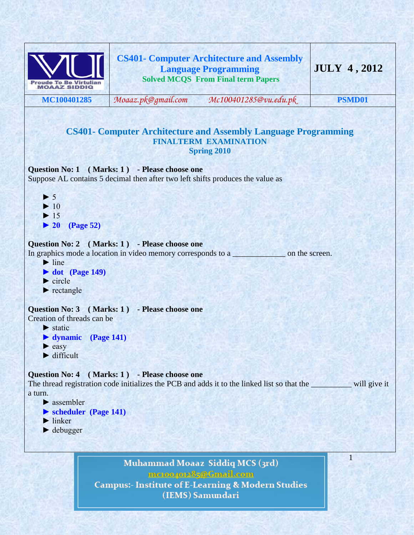

mctoo4ot285@Gmail.com **Campus:- Institute of E-Learning & Modern Studies** (IEMS) Samundari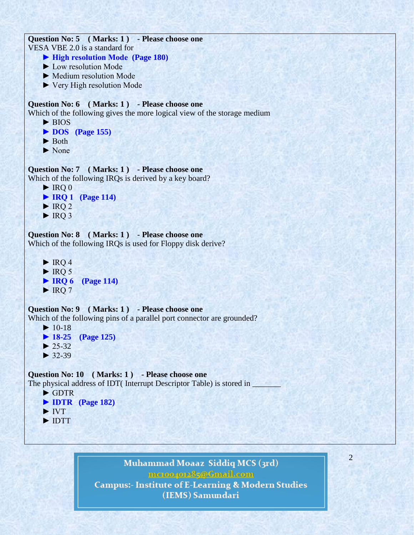```
Question No: 5 ( Marks: 1 ) - Please choose one
VESA VBE 2.0 is a standard for 
     ► High resolution Mode (Page 180)
     ► Low resolution Mode
     ► Medium resolution Mode
     ► Very High resolution Mode
Question No: 6 ( Marks: 1 ) - Please choose one
Which of the following gives the more logical view of the storage medium
     ► BIOS
     ► DOS (Page 155)
     ► Both
     ► None
Question No: 7 ( Marks: 1 ) - Please choose one
Which of the following IRQs is derived by a key board?
    \blacktriangleright IRQ 0
     ► IRQ 1 (Page 114)
    \blacktriangleright IRQ 2
    \blacktriangleright IRQ 3
Question No: 8 ( Marks: 1 ) - Please choose one
Which of the following IRQs is used for Floppy disk derive?
    \blacktriangleright IRQ 4
    \blacktriangleright IRO 5
     ► IRQ 6 (Page 114)
    \blacktriangleright IRO 7
Question No: 9 ( Marks: 1 ) - Please choose one
Which of the following pins of a parallel port connector are grounded?
    \blacktriangleright 10-18
     ► 18-25 (Page 125) 
    \blacktriangleright 25-32
    \blacktriangleright 32-39
Question No: 10 ( Marks: 1 ) - Please choose one
The physical address of IDT( Interrupt Descriptor Table) is stored in
     ► GDTR
     ► IDTR (Page 182)
     ► IVT
     ► IDTT
```
Muhammad Moaaz Siddiq MCS (3rd) mc.compress@Gmail.com **Campus:- Institute of E-Learning & Modern Studies** (IEMS) Samundari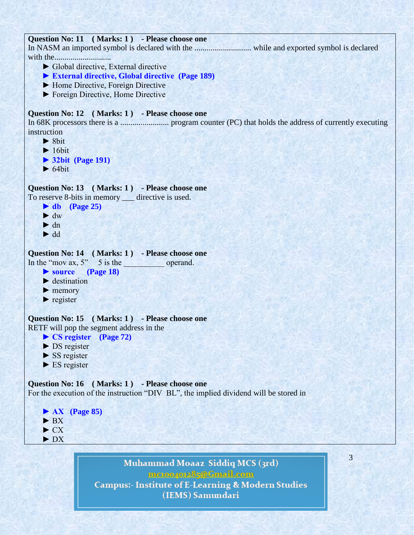## **Question No: 11 ( Marks: 1 ) - Please choose one**

In NASM an imported symbol is declared with the ............................ while and exported symbol is declared with the............................

- ► Global directive, External directive
- **► External directive, Global directive (Page 189)**
- ► Home Directive, Foreign Directive
- ► Foreign Directive, Home Directive

### **Question No: 12 ( Marks: 1 ) - Please choose one**

In 68K processors there is a ........................ program counter (PC) that holds the address of currently executing instruction

- $\blacktriangleright$  8bit
- $\blacktriangleright$  16bit
- **► 32bit (Page 191)**
- $\blacktriangleright$  64bit

## **Question No: 13 ( Marks: 1 ) - Please choose one**

To reserve 8-bits in memory \_\_\_ directive is used.

- **► db (Page 25)**
- ► dw
- $\blacktriangleright$  dn
- ► dd

#### **Question No: 14 ( Marks: 1 ) - Please choose one**

In the "mov  $ax, 5$ " 5 is the operand.

```
 ► source (Page 18)
```
- $\blacktriangleright$  destination
- ▶ memory
- $\blacktriangleright$  register

#### **Question No: 15 ( Marks: 1 ) - Please choose one** RETF will pop the segment address in the

- **► CS register (Page 72)**
- ► DS register
- $\triangleright$  SS register
- $\blacktriangleright$  ES register

# **Question No: 16 ( Marks: 1 ) - Please choose one**

For the execution of the instruction "DIV BL", the implied dividend will be stored in



# Muhammad Moaaz Siddiq MCS (3rd) mctoo4ot285@Gmail.com **Campus:- Institute of E-Learning & Modern Studies** (IEMS) Samundari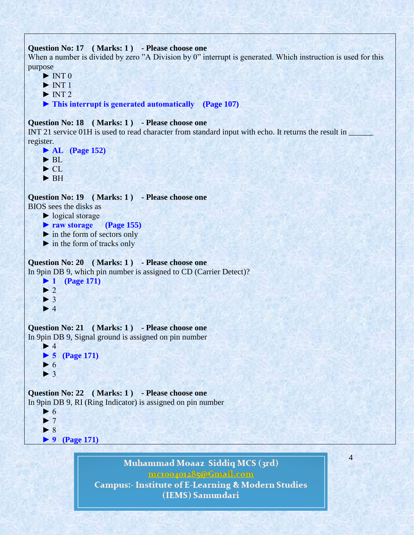```
Question No: 17 ( Marks: 1 ) - Please choose one
```
When a number is divided by zero "A Division by 0" interrupt is generated. Which instruction is used for this purpose

- $\blacktriangleright$  INT 0
- $\blacktriangleright$  INT 1
- $\blacktriangleright$  INT 2
- **► This interrupt is generated automatically (Page 107)**

# **Question No: 18 ( Marks: 1 ) - Please choose one**

INT 21 service 01H is used to read character from standard input with echo. It returns the result in register.

```
 ► AL (Page 152)
 ► BL 
 ► CL
```
► BH

**Question No: 19 ( Marks: 1 ) - Please choose one**

BIOS sees the disks as

- ► logical storage
- **► raw storage (Page 155)**
- $\blacktriangleright$  in the form of sectors only
- $\blacktriangleright$  in the form of tracks only

# **Question No: 20 ( Marks: 1 ) - Please choose one**

In 9pin DB 9, which pin number is assigned to CD (Carrier Detect)?

 **► 1 (Page 171)**  $\blacktriangleright$  $\blacktriangleright$  $\blacktriangleright$ 

## **Question No: 21 ( Marks: 1 ) - Please choose one** In 9pin DB 9, Signal ground is assigned on pin number

```
\blacktriangleright 4
 ► 5 (Page 171)
\blacktriangleright 6
\blacktriangleright 3
```
**Question No: 22 ( Marks: 1 ) - Please choose one** In 9pin DB 9, RI (Ring Indicator) is assigned on pin number



Muhammad Moaaz Siddiq MCS (3rd) mc.compress@Gmail.com **Campus:- Institute of E-Learning & Modern Studies** (IEMS) Samundari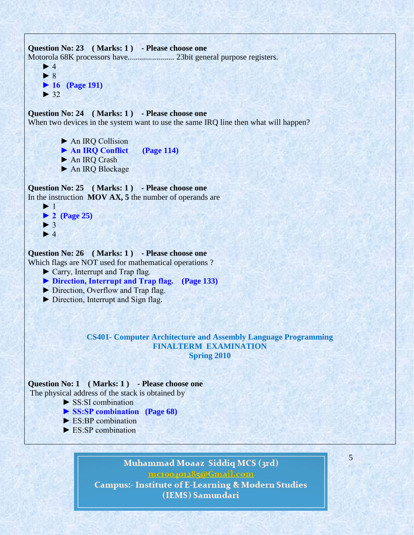```
Question No: 23 ( Marks: 1 ) - Please choose one
Motorola 68K processors have....................... 23bit general purpose registers.
    \blacktriangleright 4
     ► 8
     ► 16 (Page 191)
    \blacktriangleright 32
Question No: 24 ( Marks: 1 ) - Please choose one
When two devices in the system want to use the same IRQ line then what will happen?
           ► An IRQ Collision
           ► An IRQ Conflict (Page 114)
           ► An IRQ Crash
           ► An IRQ Blockage
Question No: 25 ( Marks: 1 ) - Please choose one
In the instruction MOV AX, 5 the number of operands are
    \blacktriangleright 1
     ► 2 (Page 25)
    \blacktriangleright 3
    \blacktriangleright 4
Question No: 26 ( Marks: 1 ) - Please choose one
Which flags are NOT used for mathematical operations ?
     ► Carry, Interrupt and Trap flag.
     ► Direction, Interrupt and Trap flag. (Page 133)
     ► Direction, Overflow and Trap flag.
     ► Direction, Interrupt and Sign flag.
                  CS401- Computer Architecture and Assembly Language Programming
                                      FINALTERM EXAMINATION 
                                                 Spring 2010
Question No: 1 ( Marks: 1 ) - Please choose one
The physical address of the stack is obtained by
           ► SS:SI combination
           ► SS:SP combination (Page 68)
           ► ES:BP combination
          \blacktriangleright ES:SP combination
```
Muhammad Moaaz Siddiq MCS (3rd) mctoo4ot285@Gmail.com **Campus:- Institute of E-Learning & Modern Studies** (IEMS) Samundari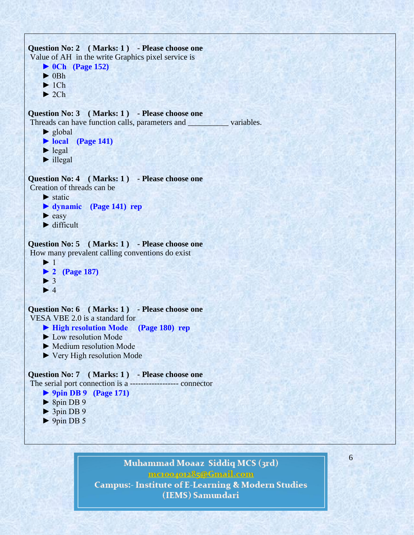```
Question No: 2 ( Marks: 1 ) - Please choose one
Value of AH in the write Graphics pixel service is
      ► 0Ch (Page 152)
     \blacktriangleright 0Bh
     \blacktriangleright 1Ch
     \blacktriangleright 2Ch
Question No: 3 ( Marks: 1 ) - Please choose one
Threads can have function calls, parameters and __________ variables.
      ► global
      ► local (Page 141)
     \blacktriangleright legal
     \blacktriangleright illegal
Question No: 4 ( Marks: 1 ) - Please choose one
Creation of threads can be 
     \blacktriangleright static
      ► dynamic (Page 141) rep
     \blacktriangleright easy
     \blacktriangleright difficult
Question No: 5 ( Marks: 1 ) - Please choose one
How many prevalent calling conventions do exist
     \blacktriangleright 1
      ► 2 (Page 187)
     \blacktriangleright 3
     \blacktriangleright 4
Question No: 6 ( Marks: 1 ) - Please choose one
VESA VBE 2.0 is a standard for 
      ► High resolution Mode (Page 180) rep
      ► Low resolution Mode
      ► Medium resolution Mode
      ► Very High resolution Mode
Question No: 7 ( Marks: 1 ) - Please choose one
The serial port connection is a ------------------ connector
      ► 9pin DB 9 (Page 171)
     \triangleright 8pin DB 9
      ► 3pin DB 9
```

```
\triangleright 9pin DB 5
```
# Muhammad Moaaz Siddiq MCS (3rd)

mc.compress@Gmail.com

6

**Campus:- Institute of E-Learning & Modern Studies** (IEMS) Samundari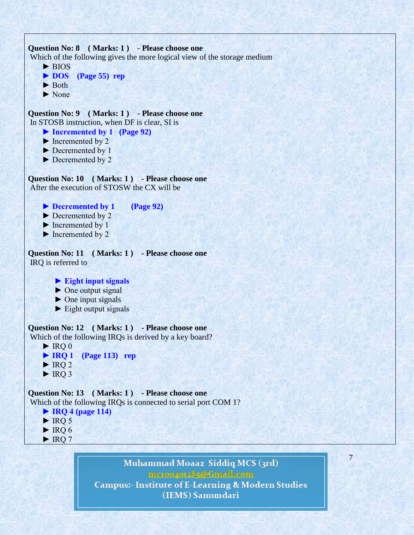```
Question No: 8 ( Marks: 1 ) - Please choose one
Which of the following gives the more logical view of the storage medium
     ► BIOS
     ► DOS (Page 55) rep
     ► Both
     ► None
Question No: 9 ( Marks: 1 ) - Please choose one
In STOSB instruction, when DF is clear, SI is 
     ► Incremented by 1 (Page 92)
     ► Incremented by 2
     ► Decremented by 1
     ► Decremented by 2
Question No: 10 ( Marks: 1 ) - Please choose one
After the execution of STOSW the CX will be 
     ► Decremented by 1 (Page 92)
     ► Decremented by 2 
     ► Incremented by 1
    \blacktriangleright Incremented by 2
Question No: 11 ( Marks: 1 ) - Please choose one
IRQ is referred to
         ► Eight input signals
        \triangleright One output signal
        \triangleright One input signals
        \blacktriangleright Eight output signals
Question No: 12 ( Marks: 1 ) - Please choose one
Which of the following IRQs is derived by a key board?
    \blacktriangleright IRO 0
     ► IRQ 1 (Page 113) rep
    \blacktriangleright IRO 2
    \blacktriangleright IRQ 3
Question No: 13 ( Marks: 1 ) - Please choose one
Which of the following IRQs is connected to serial port COM 1?
     ► IRQ 4 (page 114)
    \triangleright IRQ 5
    \blacktriangleright IRQ 6
    \blacktriangleright IRQ 7
```
Muhammad Moaaz Siddiq MCS (3rd) mctoo4ot285@Gmail.com **Campus:- Institute of E-Learning & Modern Studies** (IEMS) Samundari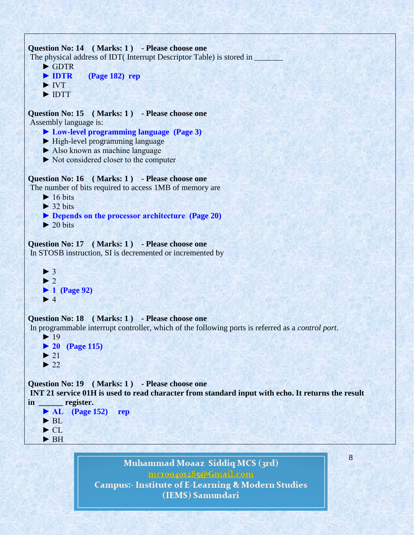```
Question No: 14 ( Marks: 1 ) - Please choose one
The physical address of IDT( Interrupt Descriptor Table) is stored in _______
     ► GDTR
     ► IDTR (Page 182) rep
     ► IVT
     ► IDTT
Question No: 15 ( Marks: 1 ) - Please choose one
Assembly language is:
     ► Low-level programming language (Page 3)
     ► High-level programming language
     ► Also known as machine language
     ► Not considered closer to the computer
Question No: 16 ( Marks: 1 ) - Please choose one
The number of bits required to access 1MB of memory are
    \blacktriangleright 16 bits
    \blacktriangleright 32 bits
     ► Depends on the processor architecture (Page 20)
    \blacktriangleright 20 bits
Question No: 17 ( Marks: 1 ) - Please choose one
In STOSB instruction, SI is decremented or incremented by
    \blacktriangleright 3
    \blacktriangleright 2
     ► 1 (Page 92)
    \blacktriangleright 4
Question No: 18 ( Marks: 1 ) - Please choose one
In programmable interrupt controller, which of the following ports is referred as a control port.
     ► 19
     ► 20 (Page 115)
    \blacktriangleright 21
    \blacktriangleright 22
Question No: 19 ( Marks: 1 ) - Please choose one
INT 21 service 01H is used to read character from standard input with echo. It returns the result 
in ______ register.
      ► AL (Page 152) rep
     ► BL 
    \blacktriangleright CL.
```
► BH

Muhammad Moaaz Siddiq MCS (3rd) mctoo4ot285@Gmail.com **Campus:- Institute of E-Learning & Modern Studies** (IEMS) Samundari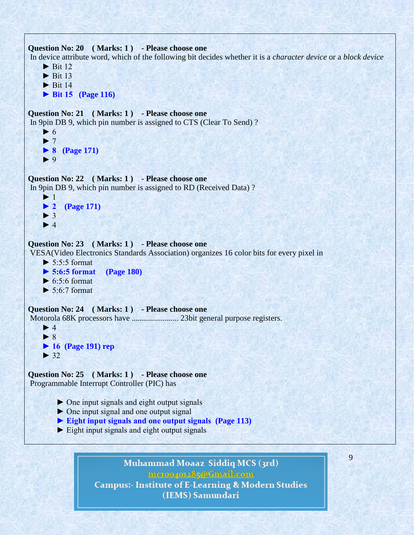```
Question No: 20 ( Marks: 1 ) - Please choose one
In device attribute word, which of the following bit decides whether it is a character device or a block device
     \blacktriangleright Bit 12
     \blacktriangleright Bit 13
     \blacktriangleright Bit 14
      ► Bit 15 (Page 116)
Question No: 21 ( Marks: 1 ) - Please choose one
In 9pin DB 9, which pin number is assigned to CTS (Clear To Send) ?
     \blacktriangleright 6
     \blacktriangleright 7
      ► 8 (Page 171)
      ► 9
Question No: 22 ( Marks: 1 ) - Please choose one
In 9pin DB 9, which pin number is assigned to RD (Received Data) ?
     \blacktriangleright 1
      ► 2 (Page 171)
     \blacktriangleright 3
     \blacktriangleright 4
Question No: 23 ( Marks: 1 ) - Please choose one
VESA(Video Electronics Standards Association) organizes 16 color bits for every pixel in
     \triangleright 5:5:5 format
      ► 5:6:5 format (Page 180)
     \triangleright 6:5:6 format
     \blacktriangleright 5:6:7 format
Question No: 24 ( Marks: 1 ) - Please choose one
Motorola 68K processors have ....................... 23bit general purpose registers.
     \blacktriangleright 4
      ► 8
      ► 16 (Page 191) rep
     \blacktriangleright 32
Question No: 25 ( Marks: 1 ) - Please choose one
Programmable Interrupt Controller (PIC) has 
         \triangleright One input signals and eight output signals
          ► One input signal and one output signal
          ► Eight input signals and one output signals (Page 113)
           ► Eight input signals and eight output signals
```
Muhammad Moaaz Siddiq MCS (3rd) mc.compress@Gmail.com **Campus:- Institute of E-Learning & Modern Studies** (IEMS) Samundari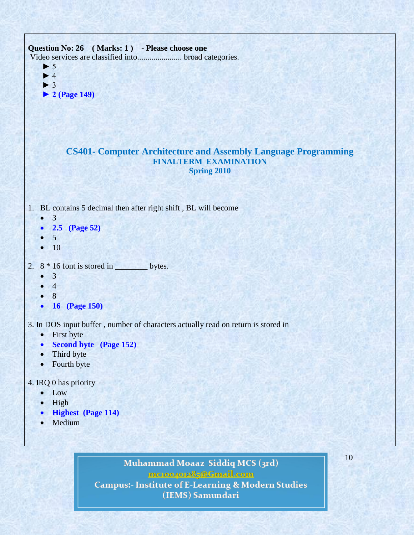

## 4. IRQ 0 has priority

- Low
- $\bullet$  High
- **Highest (Page 114)**
- Medium

Muhammad Moaaz Siddiq MCS (3rd) mctoo4ot285@Gmail.com **Campus:- Institute of E-Learning & Modern Studies** (IEMS) Samundari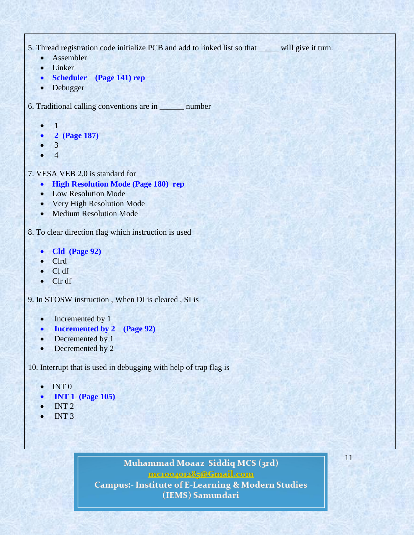5. Thread registration code initialize PCB and add to linked list so that \_\_\_\_\_ will give it turn.

- Assembler
- Linker
- **Scheduler (Page 141) rep**
- Debugger

6. Traditional calling conventions are in \_\_\_\_\_\_ number

- 1
- **2 (Page 187)**
- 3
- 4

7. VESA VEB 2.0 is standard for

- **High Resolution Mode (Page 180) rep**
- Low Resolution Mode
- Very High Resolution Mode
- Medium Resolution Mode

8. To clear direction flag which instruction is used

- **Cld (Page 92)**
- Clrd
- Cl df
- Clr df

9. In STOSW instruction , When DI is cleared , SI is

- Incremented by 1
- **Incremented by 2 (Page 92)**
- Decremented by 1
- Decremented by 2

10. Interrupt that is used in debugging with help of trap flag is

- $\bullet$  INT 0
- **INT 1 (Page 105)**
- INT 2
- INT 3

Muhammad Moaaz Siddiq MCS (3rd) mctoo4o085@Cmail.com **Campus:- Institute of E-Learning & Modern Studies** (IEMS) Samundari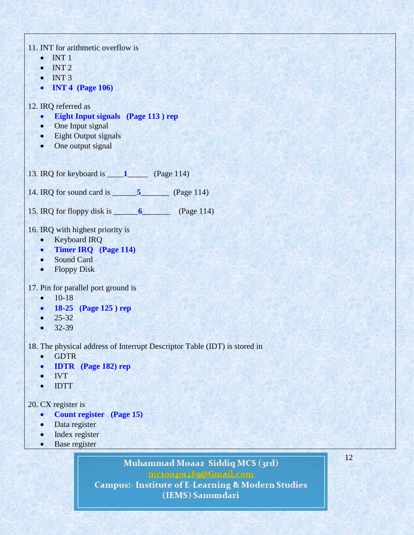| 11. INT for arithmetic overflow is                                        |
|---------------------------------------------------------------------------|
| INT <sub>1</sub>                                                          |
| INT 2<br>$\bullet$                                                        |
| INT <sub>3</sub><br>$\bullet$                                             |
| <b>INT 4 (Page 106)</b><br>$\bullet$                                      |
|                                                                           |
| 12. IRQ referred as                                                       |
| <b>Eight Input signals</b> (Page 113) rep<br>$\bullet$                    |
| • One Input signal                                                        |
| • Eight Output signals                                                    |
| One output signal<br>$\bullet$                                            |
|                                                                           |
|                                                                           |
|                                                                           |
| 14. IRQ for sound card is $\frac{5}{\sqrt{2}}$ (Page 114)                 |
|                                                                           |
|                                                                           |
|                                                                           |
| 16. IRQ with highest priority is                                          |
| <b>Keyboard IRQ</b><br>$\bullet$                                          |
| • Timer IRQ (Page 114)                                                    |
| <b>Sound Card</b><br>$\bullet$                                            |
| <b>Floppy Disk</b><br>$\bullet$                                           |
|                                                                           |
| 17. Pin for parallel port ground is                                       |
| $10-18$<br>$\bullet$                                                      |
| • 18-25 (Page 125) rep                                                    |
| $25 - 32$<br>$\bullet$                                                    |
| 32-39<br>$\bullet$                                                        |
|                                                                           |
| 18. The physical address of Interrupt Descriptor Table (IDT) is stored in |
| <b>GDTR</b><br>$\bullet$                                                  |
| <b>IDTR</b> (Page 182) rep<br>$\bullet$                                   |
| <b>IVT</b>                                                                |
| <b>IDTT</b>                                                               |
| 20. CX register is                                                        |
| <b>Count register</b> (Page 15)                                           |
| Data register                                                             |
| Index register<br>$\bullet$                                               |
|                                                                           |

**Base register** 

Muhammad Moaaz Siddiq MCS (3rd) mcton-pote 35 @ Gmail.com<br>Campus:- Institute of E-Learning & Modern Studies<br>(IEMS) Samundari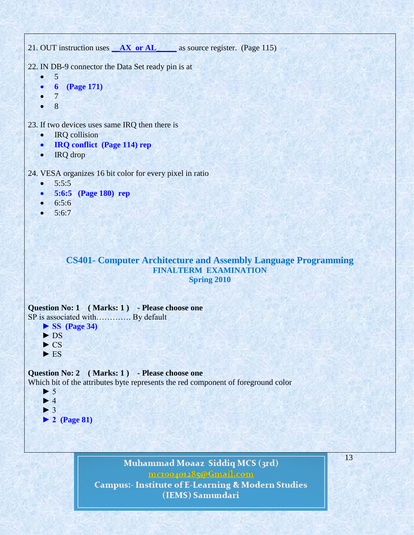```
21. OUT instruction uses AX or AL as source register. (Page 115)
22. IN DB-9 connector the Data Set ready pin is at
   \bullet 5
    6 (Page 171)
        7
    8
23. If two devices uses same IRQ then there is
        IRQ collision
    IRQ conflict (Page 114) rep
   • IRQ drop
24. VESA organizes 16 bit color for every pixel in ratio
   • 5:5:5 5:6:5 (Page 180) rep
   • 6:5:6• 5:6:7CS401- Computer Architecture and Assembly Language Programming
                                    FINALTERM EXAMINATION 
                                               Spring 2010
Question No: 1 ( Marks: 1 ) - Please choose one
SP is associated with……………. By default
     ► SS (Page 34)
     ► DS
    \triangleright CS
    \blacktriangleright ES
Question No: 2 ( Marks: 1 ) - Please choose one
Which bit of the attributes byte represents the red component of foreground color
    \blacktriangleright 5
    \blacktriangleright 4
     ► 3
     ► 2 (Page 81)
```
Muhammad Moaaz Siddiq MCS (3rd) mcroopor25@Gmail.com **Campus:- Institute of E-Learning & Modern Studies** (IEMS) Samundari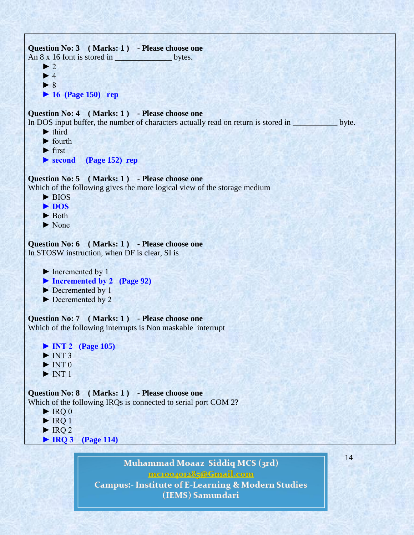```
Question No: 3 ( Marks: 1 ) - Please choose one
An 8 x 16 font is stored in bytes.
     \blacktriangleright 2
     \blacktriangleright 4
      ► 8
      ► 16 (Page 150) rep
Question No: 4 ( Marks: 1 ) - Please choose one
In DOS input buffer, the number of characters actually read on return is stored in _____________ byte.
     \blacktriangleright third
     \blacktriangleright fourth
     \blacktriangleright first
      ► second (Page 152) rep 
Question No: 5 ( Marks: 1 ) - Please choose one
Which of the following gives the more logical view of the storage medium
     \blacktriangleright BIOS
      ► DOS
      ► Both
      ► None
Question No: 6 ( Marks: 1 ) - Please choose one
In STOSW instruction, when DF is clear, SI is 
      ► Incremented by 1
      ► Incremented by 2 (Page 92)
      ► Decremented by 1
      ► Decremented by 2
Question No: 7 ( Marks: 1 ) - Please choose one
Which of the following interrupts is Non maskable interrupt
      ► INT 2 (Page 105)
     \blacktriangleright INT 3
     \blacktriangleright INT 0
     \blacktriangleright INT 1
Question No: 8 ( Marks: 1 ) - Please choose one
Which of the following IRQs is connected to serial port COM 2?
     \blacktriangleright IRQ 0
     \blacktriangleright IRQ 1
     \blacktriangleright IRQ 2
      ► IRQ 3 (Page 114)
```
Muhammad Moaaz Siddiq MCS (3rd) mc.compress@Gmail.com **Campus:- Institute of E-Learning & Modern Studies** (IEMS) Samundari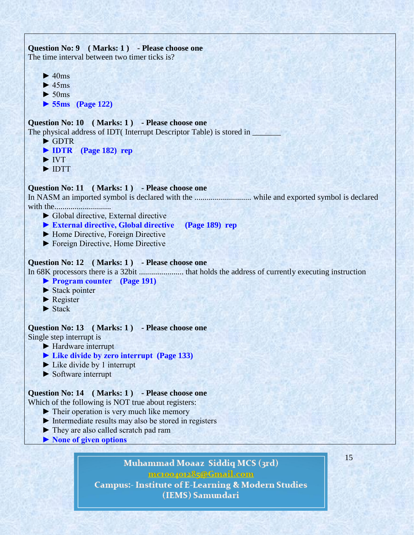```
Question No: 9 ( Marks: 1 ) - Please choose one
The time interval between two timer ticks is?
    \blacktriangleright 40ms
    \blacktriangleright 45ms
    \blacktriangleright 50ms
     ► 55ms (Page 122)
Question No: 10 ( Marks: 1 ) - Please choose one
The physical address of IDT( Interrupt Descriptor Table) is stored in _______
     ► GDTR
     ► IDTR (Page 182) rep
     ► IVT
     ► IDTT
Question No: 11 ( Marks: 1 ) - Please choose one
In NASM an imported symbol is declared with the ............................ while and exported symbol is declared 
with the............................ 
     ► Global directive, External directive 
     ► External directive, Global directive (Page 189) rep
     ► Home Directive, Foreign Directive
     ► Foreign Directive, Home Directive
Question No: 12 ( Marks: 1 ) - Please choose one
In 68K processors there is a 32bit ...................... that holds the address of currently executing instruction
     ► Program counter (Page 191)
    \blacktriangleright Stack pointer
     ► Register
    \blacktriangleright Stack
Question No: 13 ( Marks: 1 ) - Please choose one
Single step interrupt is 
     ► Hardware interrupt
     ► Like divide by zero interrupt (Page 133)
    \blacktriangleright Like divide by 1 interrupt
     ► Software interrupt
Question No: 14 ( Marks: 1 ) - Please choose one
Which of the following is NOT true about registers:
     ► Their operation is very much like memory
     ► Intermediate results may also be stored in registers
     ► They are also called scratch pad ram
     ► None of given options15
                              Muhammad Moaaz Siddiq MCS (3rd)
```
mctoo4ot285@Gmail.com **Campus:- Institute of E-Learning & Modern Studies** (IEMS) Samundari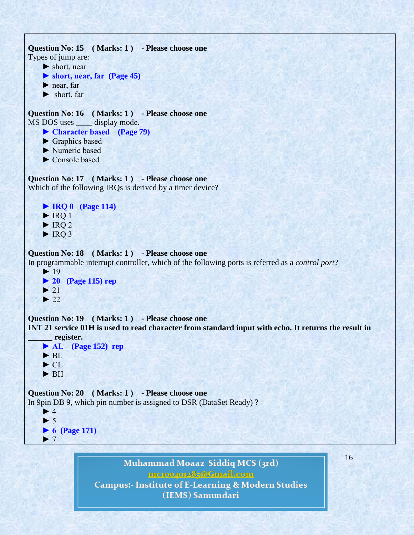```
Question No: 15 ( Marks: 1 ) - Please choose one
Types of jump are:
      ► short, near
      ► short, near, far (Page 45)
      ► near, far
      ► short, far
Question No: 16 ( Marks: 1 ) - Please choose one
MS DOS uses _____ display mode.
      ► Character based (Page 79)
     ► Graphics based
      ► Numeric based
      ► Console based
Question No: 17 ( Marks: 1 ) - Please choose one
Which of the following IRQs is derived by a timer device?
      ► IRQ 0 (Page 114)
     \blacktriangleright IRQ 1
     \blacktriangleright IRQ 2
     \blacktriangleright IRQ 3
Question No: 18 ( Marks: 1 ) - Please choose one
In programmable interrupt controller, which of the following ports is referred as a control port?
     \blacktriangleright 19
      ► 20 (Page 115) rep
    \blacktriangleright 21
     \blacktriangleright 22
Question No: 19 ( Marks: 1 ) - Please choose one
INT 21 service 01H is used to read character from standard input with echo. It returns the result in 
       ______ register.
      ► AL (Page 152) rep
     \blacktriangleright BL
      ► CL 
      ► BH
Question No: 20 ( Marks: 1 ) - Please choose one
In 9pin DB 9, which pin number is assigned to DSR (DataSet Ready) ?
     \blacktriangleright 4
     \blacktriangleright 5
      ► 6 (Page 171)
     \blacktriangleright 7
                               Muhammad Moaaz Siddiq MCS (3rd)
```
mc.compress@Gmail.com **Campus:- Institute of E-Learning & Modern Studies** (IEMS) Samundari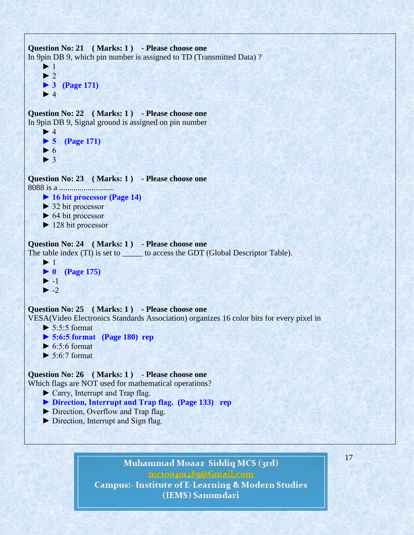```
Question No: 21 ( Marks: 1 ) - Please choose one
In 9pin DB 9, which pin number is assigned to TD (Transmitted Data) ?
      ► 1
     \blacktriangleright 2
      ► 3 (Page 171)
     \blacktriangleright 4
Question No: 22 ( Marks: 1 ) - Please choose one
In 9pin DB 9, Signal ground is assigned on pin number
     \blacktriangleright 4
      ► 5 (Page 171)
     \blacktriangleright 6
     \blacktriangleright 3
Question No: 23 ( Marks: 1 ) - Please choose one
8088 is a ...........................
      ► 16 bit processor (Page 14)
      ► 32 bit processor
     \triangleright 64 bit processor
      ► 128 bit processor
Question No: 24 ( Marks: 1 ) - Please choose one
The table index (TI) is set to ______ to access the GDT (Global Descriptor Table).
     \blacktriangleright 1
      ► 0 (Page 175)
     \blacktriangleright -1
     \blacktriangleright -2
Question No: 25 ( Marks: 1 ) - Please choose one
VESA(Video Electronics Standards Association) organizes 16 color bits for every pixel in
     \blacktriangleright 5:5:5 format
      ► 5:6:5 format (Page 180) rep
     \triangleright 6:5:6 format
     \blacktriangleright 5:6:7 format
Question No: 26 ( Marks: 1 ) - Please choose one
Which flags are NOT used for mathematical operations?
     ► Carry, Interrupt and Trap flag.
      ► Direction, Interrupt and Trap flag. (Page 133) rep
      ► Direction, Overflow and Trap flag.
      ► Direction, Interrupt and Sign flag.
```
Muhammad Moaaz Siddiq MCS (3rd) mc.compress@Gmail.com **Campus:- Institute of E-Learning & Modern Studies** (IEMS) Samundari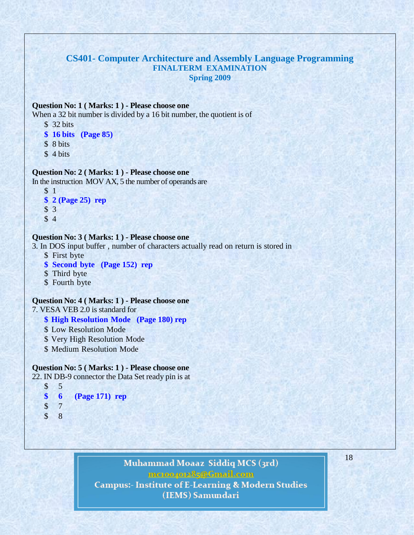## **CS401- Computer Architecture and Assembly Language Programming FINALTERM EXAMINATION Spring 2009**

### **Question No: 1 ( Marks: 1 ) - Please choose one**

When a 32 bit number is divided by a 16 bit number, the quotient is of

- \$ 32 bits
- **\$ 16 bits (Page 85)**
- \$ 8 bits
- $$4 bits$

#### **Question No: 2 ( Marks: 1 ) - Please choose one**

In the instruction MOV AX, 5 the number of operands are

```
$ 1
$ 2 (Page 25) rep
$ 3
$ 4
```
### **Question No: 3 ( Marks: 1 ) - Please choose one**

3. In DOS input buffer , number of characters actually read on return is stored in

- \$ First byte
- **\$ Second byte (Page 152) rep**
- \$ Third byte
- \$ Fourth byte

#### **Question No: 4 ( Marks: 1 ) - Please choose one** 7. VESA VEB 2.0 is standard for

- **\$ High Resolution Mode (Page 180) rep**
- \$ Low Resolution Mode
- \$ Very High Resolution Mode
- \$ Medium Resolution Mode

### **Question No: 5 ( Marks: 1 ) - Please choose one**

22. IN DB-9 connector the Data Set ready pin is at

- \$ 5 **\$ 6 (Page 171) rep** \$ 7
- \$ 8

# Muhammad Moaaz Siddiq MCS (3rd) mc.compress@Gmail.com **Campus:- Institute of E-Learning & Modern Studies**

(IEMS) Samundari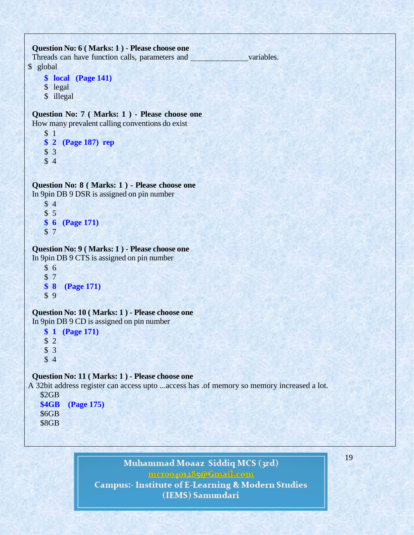## **Question No: 6 ( Marks: 1 ) - Please choose one**

Threads can have function calls, parameters and variables. \$ global

```
$ local (Page 141)
```
- \$ legal
- \$ illegal

**Question No: 7 ( Marks: 1 ) - Please choose one** How many prevalent calling conventions do exist

```
$ 1
$ 2 (Page 187) rep
$ 3
$ 4
```
**Question No: 8 ( Marks: 1 ) - Please choose one** In 9pin DB 9 DSR is assigned on pin number

```
$ 4
$ 5
$ 6 (Page 171)
$ 7
```
### **Question No: 9 ( Marks: 1 ) - Please choose one** In 9pin DB 9 CTS is assigned on pin number

\$ 6

```
$ 7
$ 8 (Page 171)
$ 9
```
**Question No: 10 ( Marks: 1 ) - Please choose one** In 9pin DB 9 CD is assigned on pin number

**\$ 1 (Page 171)** \$ 2 \$ 3 \$ 4

# **Question No: 11 ( Marks: 1 ) - Please choose one**

A 32bit address register can access upto ...access has .of memory so memory increased a lot.

```
 $2GB
 $4GB (Page 175)
 $6GB
 $8GB
```
# Muhammad Moaaz Siddiq MCS (3rd) mc.compress@Gmail.com **Campus:- Institute of E-Learning & Modern Studies** (IEMS) Samundari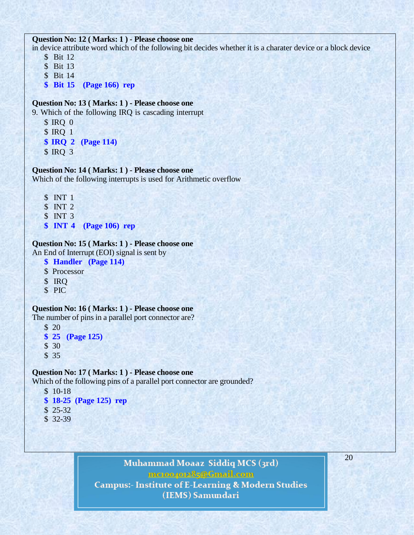#### **Question No: 12 ( Marks: 1 ) - Please choose one**

in device attribute word which of the following bit decides whether it is a charater device or a block device \$ Bit 12

\$ Bit 13

\$ Bit 14

**\$ Bit 15 (Page 166) rep**

#### **Question No: 13 ( Marks: 1 ) - Please choose one**

9. Which of the following IRQ is cascading interrupt

- \$ IRQ 0 \$ IRQ 1
- **\$ IRQ 2 (Page 114)**
- \$ IRQ 3

### **Question No: 14 ( Marks: 1 ) - Please choose one**

Which of the following interrupts is used for Arithmetic overflow

- \$ INT 1
- \$ INT 2
- \$ INT 3
- **\$ INT 4 (Page 106) rep**

#### **Question No: 15 ( Marks: 1 ) - Please choose one**

An End of Interrupt (EOI) signal is sent by

- **\$ Handler (Page 114)**
- \$ Processor
- \$ IRQ
- \$ PIC

#### **Question No: 16 ( Marks: 1 ) - Please choose one**

The number of pins in a parallel port connector are?

- \$ 20
- **\$ 25 (Page 125)**
- \$ 30
- \$ 35

#### **Question No: 17 ( Marks: 1 ) - Please choose one**

Which of the following pins of a parallel port connector are grounded?

- \$ 10-18 **\$ 18-25 (Page 125) rep** \$ 25-32
- \$ 32-39

Muhammad Moaaz Siddiq MCS (3rd) mc.compress@Gmail.com **Campus:- Institute of E-Learning & Modern Studies** (IEMS) Samundari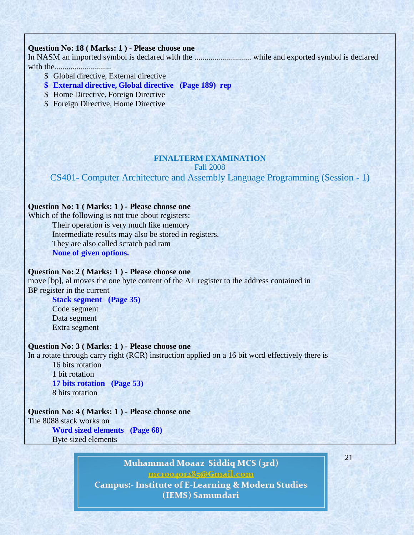### **Question No: 18 ( Marks: 1 ) - Please choose one**

In NASM an imported symbol is declared with the ............................ while and exported symbol is declared with the............................

- \$ Global directive, External directive
- **\$ External directive, Global directive (Page 189) rep**
- \$ Home Directive, Foreign Directive
- \$ Foreign Directive, Home Directive

#### **FINALTERM EXAMINATION** Fall 2008

# CS401- Computer Architecture and Assembly Language Programming (Session - 1)

#### **Question No: 1 ( Marks: 1 ) - Please choose one**

Which of the following is not true about registers: Their operation is very much like memory Intermediate results may also be stored in registers. They are also called scratch pad ram **None of given options.**

# **Question No: 2 ( Marks: 1 ) - Please choose one**

move [bp], al moves the one byte content of the AL register to the address contained in BP register in the current

**Stack segment (Page 35)** Code segment Data segment Extra segment

#### **Question No: 3 ( Marks: 1 ) - Please choose one**

In a rotate through carry right (RCR) instruction applied on a 16 bit word effectively there is

16 bits rotation 1 bit rotation **17 bits rotation (Page 53)** 8 bits rotation

# **Question No: 4 ( Marks: 1 ) - Please choose one**

The 8088 stack works on **Word sized elements (Page 68)**

Byte sized elements

Muhammad Moaaz Siddiq MCS (3rd) mcroopor25@Gmail.com **Campus:- Institute of E-Learning & Modern Studies** (IEMS) Samundari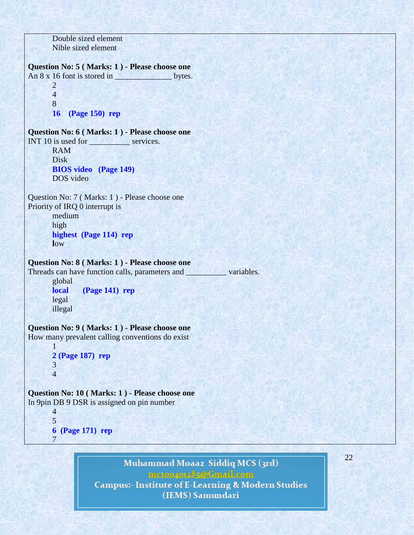Double sized element Nible sized element

**Question No: 5 ( Marks: 1 ) - Please choose one**

An 8 x 16 font is stored in \_\_\_\_\_\_\_\_\_\_\_\_\_\_ bytes. 2 4 8

**16 (Page 150) rep**

**Question No: 6 ( Marks: 1 ) - Please choose one**

INT 10 is used for services. RAM Disk **BIOS video (Page 149)** DOS video

Question No: 7 ( Marks: 1 ) - Please choose one Priority of IRQ 0 interrupt is

> medium high **highest (Page 114) rep l**ow

## **Question No: 8 ( Marks: 1 ) - Please choose one**

Threads can have function calls, parameters and \_\_\_\_\_\_\_\_\_\_\_ variables.

global **local (Page 141) rep** legal illegal

# **Question No: 9 ( Marks: 1 ) - Please choose one**

How many prevalent calling conventions do exist

```
1
2 (Page 187) rep
3
4
```
# **Question No: 10 ( Marks: 1 ) - Please choose one**

In 9pin DB 9 DSR is assigned on pin number

5 **6 (Page 171) rep** 7

4

Muhammad Moaaz Siddiq MCS (3rd) mctoo4ot285@Gmail.com

**Campus:- Institute of E-Learning & Modern Studies** (IEMS) Samundari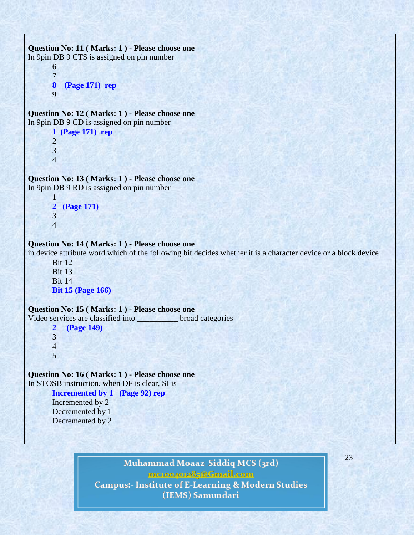```
Question No: 11 ( Marks: 1 ) - Please choose one
In 9pin DB 9 CTS is assigned on pin number
       6
       7
      8 (Page 171) rep
       9
Question No: 12 ( Marks: 1 ) - Please choose one
In 9pin DB 9 CD is assigned on pin number
       1 (Page 171) rep
       2
       3
       4
Question No: 13 ( Marks: 1 ) - Please choose one
In 9pin DB 9 RD is assigned on pin number
       1
      2 (Page 171)
       3
      4
Question No: 14 ( Marks: 1 ) - Please choose one
in device attribute word which of the following bit decides whether it is a character device or a block device
      Bit 12
      Bit 13
      Bit 14
       Bit 15 (Page 166)
Question No: 15 ( Marks: 1 ) - Please choose one
Video services are classified into broad categories
       2 (Page 149)
       3
       4
       5
Question No: 16 ( Marks: 1 ) - Please choose one
In STOSB instruction, when DF is clear, SI is
       Incremented by 1 (Page 92) rep
      Incremented by 2
      Decremented by 1
       Decremented by 2
```
23

Muhammad Moaaz Siddiq MCS (3rd) mctoo4ot285@Gmail.com **Campus:- Institute of E-Learning & Modern Studies** (IEMS) Samundari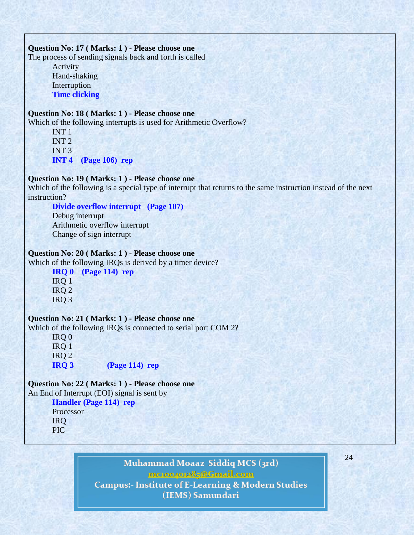#### **Question No: 17 ( Marks: 1 ) - Please choose one**

The process of sending signals back and forth is called

Activity Hand-shaking **Interruption Time clicking**

# **Question No: 18 ( Marks: 1 ) - Please choose one**

Which of the following interrupts is used for Arithmetic Overflow?

INT 1 INT 2 INT 3 **INT 4 (Page 106) rep**

# **Question No: 19 ( Marks: 1 ) - Please choose one**

Which of the following is a special type of interrupt that returns to the same instruction instead of the next instruction?

# **Divide overflow interrupt (Page 107)**

Debug interrupt Arithmetic overflow interrupt Change of sign interrupt

## **Question No: 20 ( Marks: 1 ) - Please choose one**

Which of the following IRQs is derived by a timer device?

**IRQ 0 (Page 114) rep** IRQ 1 IRQ 2 IRQ 3

# **Question No: 21 ( Marks: 1 ) - Please choose one**

Which of the following IRQs is connected to serial port COM 2?

IRQ 0 IRQ 1 IRQ 2 **IRQ 3 (Page 114) rep**

# **Question No: 22 ( Marks: 1 ) - Please choose one**

An End of Interrupt (EOI) signal is sent by

# **Handler (Page 114) rep**

Processor IRQ PIC

> Muhammad Moaaz Siddiq MCS (3rd) mctoo4ot285@Gmail.com **Campus:- Institute of E-Learning & Modern Studies** (IEMS) Samundari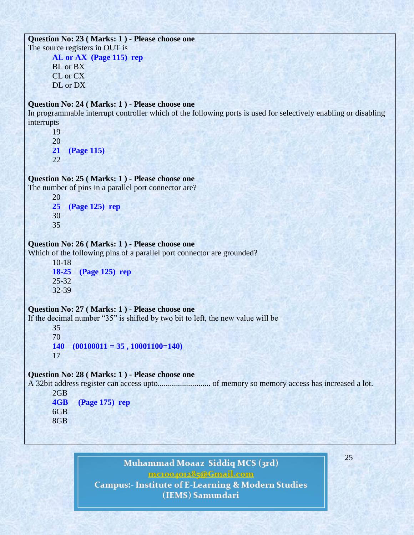```
Question No: 23 ( Marks: 1 ) - Please choose one
The source registers in OUT is
       AL or AX (Page 115) rep
       BL or BX
       CL or CX
       DL or DX
Question No: 24 ( Marks: 1 ) - Please choose one
In programmable interrupt controller which of the following ports is used for selectively enabling or disabling 
interrupts
       19
       20
       21 (Page 115)
       22
Question No: 25 ( Marks: 1 ) - Please choose one
The number of pins in a parallel port connector are?
       20
       25 (Page 125) rep
       30
       35
Question No: 26 ( Marks: 1 ) - Please choose one
Which of the following pins of a parallel port connector are grounded?
       10-18
       18-25 (Page 125) rep
       25-32
       32-39
Question No: 27 ( Marks: 1 ) - Please choose one
If the decimal number "35" is shifted by two bit to left, the new value will be
       35
       70
       140 (00100011 = 35 , 10001100=140)
       17
Question No: 28 ( Marks: 1 ) - Please choose one
A 32bit address register can access upto.......................... of memory so memory access has increased a lot.
       2GB
       4GB (Page 175) rep
       6GB
```
8GB

Muhammad Moaaz Siddiq MCS (3rd) mcroopor25@Gmail.com **Campus:- Institute of E-Learning & Modern Studies** (IEMS) Samundari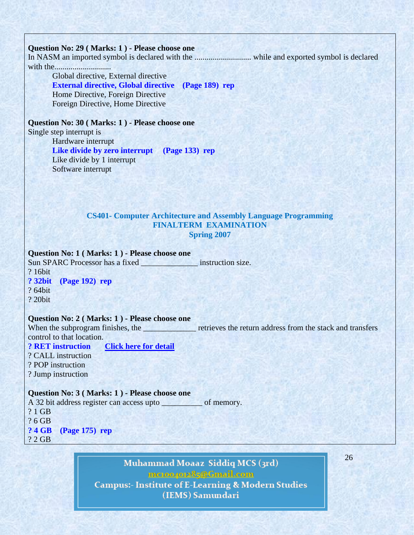### **Question No: 29 ( Marks: 1 ) - Please choose one**

In NASM an imported symbol is declared with the ............................ while and exported symbol is declared with the............................

Global directive, External directive **External directive, Global directive (Page 189) rep** Home Directive, Foreign Directive Foreign Directive, Home Directive

**Question No: 30 ( Marks: 1 ) - Please choose one** Single step interrupt is

Hardware interrupt **Like divide by zero interrupt (Page 133) rep** Like divide by 1 interrupt Software interrupt

# **CS401- Computer Architecture and Assembly Language Programming FINALTERM EXAMINATION Spring 2007**

**Question No: 1 ( Marks: 1 ) - Please choose one** Sun SPARC Processor has a fixed instruction size.

? 16bit

**? 32bit (Page 192) rep**

? 64bit

? 20bit

## **Question No: 2 ( Marks: 1 ) - Please choose one**

When the subprogram finishes, the retrieves the return address from the stack and transfers control to that location.

**? RET instruction [Click here for detail](http://www.csi.ucd.ie/staff/jcarthy/home/alp/alp5.html)** ? CALL instruction ? POP instruction ? Jump instruction

**Question No: 3 ( Marks: 1 ) - Please choose one**

A 32 bit address register can access upto \_\_\_\_\_\_\_\_\_\_ of memory. ? 1 GB ? 6 GB **? 4 GB (Page 175) rep** ? 2 GB

> Muhammad Moaaz Siddiq MCS (3rd) mctoo4ot285@Gmail.com **Campus:- Institute of E-Learning & Modern Studies** (IEMS) Samundari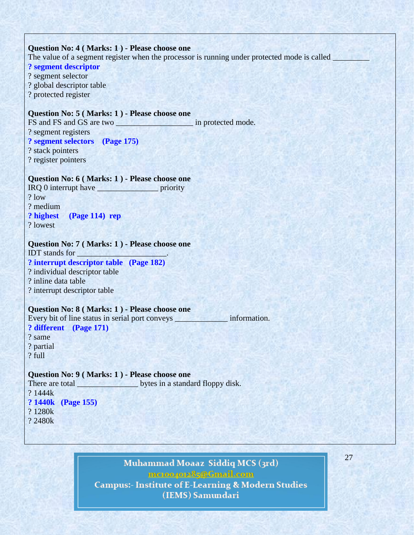#### **Question No: 4 ( Marks: 1 ) - Please choose one**

The value of a segment register when the processor is running under protected mode is called

**? segment descriptor** ? segment selector ? global descriptor table ? protected register

### **Question No: 5 ( Marks: 1 ) - Please choose one**

FS and FS and GS are two \_\_\_\_\_\_\_\_\_\_\_\_\_\_\_\_\_\_\_ in protected mode. ? segment registers **? segment selectors (Page 175)** ? stack pointers

? register pointers

#### **Question No: 6 ( Marks: 1 ) - Please choose one**

IRQ 0 interrupt have \_\_\_\_\_\_\_\_\_\_\_\_\_\_\_ priority ? low ? medium **? highest (Page 114) rep** ? lowest

## **Question No: 7 ( Marks: 1 ) - Please choose one**

IDT stands for \_\_\_\_\_\_\_\_\_\_\_\_\_\_\_\_\_\_\_\_\_\_. **? interrupt descriptor table (Page 182)** ? individual descriptor table ? inline data table ? interrupt descriptor table

### **Question No: 8 ( Marks: 1 ) - Please choose one**

Every bit of line status in serial port conveys \_\_\_\_\_\_\_\_\_\_\_\_\_\_\_\_\_ information. **? different (Page 171)** ? same ? partial

? full

#### **Question No: 9 ( Marks: 1 ) - Please choose one**

There are total bytes in a standard floppy disk. ? 1444k **? 1440k (Page 155)** ? 1280k ? 2480k

# Muhammad Moaaz Siddiq MCS (3rd) mctoo4ot285@Gmail.com **Campus:- Institute of E-Learning & Modern Studies**

(IEMS) Samundari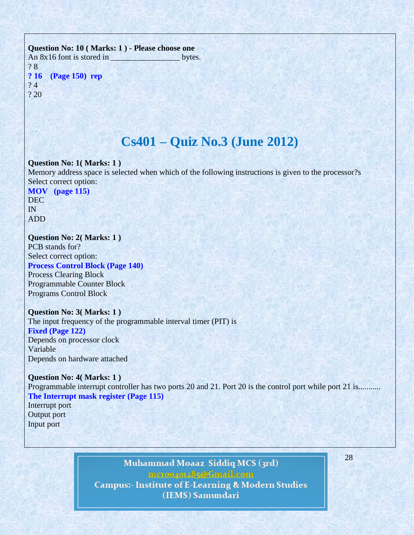# **Question No: 10 ( Marks: 1 ) - Please choose one** An 8x16 font is stored in bytes. ? 8 **? 16 (Page 150) rep** ? 4 ? 20

# **Cs401 – Quiz No.3 (June 2012)**

#### **Question No: 1( Marks: 1 )**

Memory address space is selected when which of the following instructions is given to the processor?s Select correct option:

**MOV (page 115)** DEC IN ADD

### **Question No: 2( Marks: 1 )**

PCB stands for? Select correct option: **Process Control Block (Page 140)** Process Clearing Block Programmable Counter Block Programs Control Block

#### **Question No: 3( Marks: 1 )**

The input frequency of the programmable interval timer (PIT) is **Fixed (Page 122)** Depends on processor clock Variable Depends on hardware attached

**Question No: 4( Marks: 1 )** Programmable interrupt controller has two ports 20 and 21. Port 20 is the control port while port 21 is.......... **The Interrupt mask register (Page 115)** Interrupt port

Output port Input port

# Muhammad Moaaz Siddiq MCS (3rd) mctoo4ot285@Gmail.com **Campus:- Institute of E-Learning & Modern Studies** (IEMS) Samundari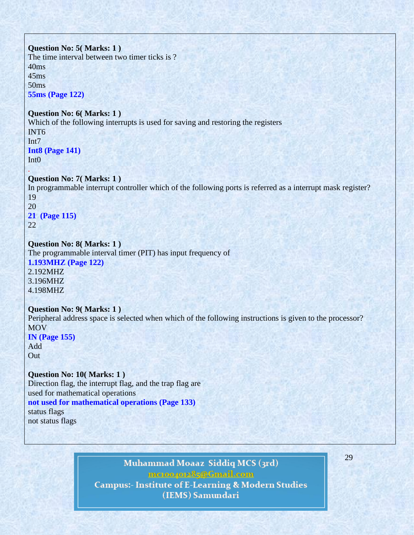# **Question No: 5( Marks: 1 )** The time interval between two timer ticks is ? 40ms 45ms 50ms **55ms (Page 122) Question No: 6( Marks: 1 )** Which of the following interrupts is used for saving and restoring the registers INT6 Int7 **Int8 (Page 141)** Int0 . **Question No: 7( Marks: 1 )** In programmable interrupt controller which of the following ports is referred as a interrupt mask register? 19 20 **21 (Page 115)** 22

# **Question No: 8( Marks: 1 )**

The programmable interval timer (PIT) has input frequency of **1.193MHZ (Page 122)** 2.192MHZ 3.196MHZ 4.198MHZ

# **Question No: 9( Marks: 1 )** Peripheral address space is selected when which of the following instructions is given to the processor? MOV **IN (Page 155)** Add

**Out** 

**Question No: 10( Marks: 1 )** Direction flag, the interrupt flag, and the trap flag are used for mathematical operations **not used for mathematical operations (Page 133)** status flags not status flags

# Muhammad Moaaz Siddiq MCS (3rd) mctoo4ot285@Gmail.com **Campus:- Institute of E-Learning & Modern Studies** (IEMS) Samundari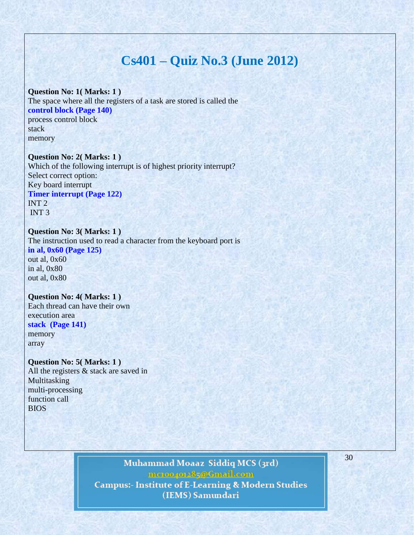# **Cs401 – Quiz No.3 (June 2012)**

#### **Question No: 1( Marks: 1 )**

The space where all the registers of a task are stored is called the **control block (Page 140)** process control block stack memory

#### **Question No: 2( Marks: 1 )**

Which of the following interrupt is of highest priority interrupt? Select correct option: Key board interrupt **Timer interrupt (Page 122)** INT 2 INT 3

# **Question No: 3( Marks: 1 )** The instruction used to read a character from the keyboard port is **in al, 0x60 (Page 125)**

out al, 0x60 in al, 0x80 out al, 0x80

# **Question No: 4( Marks: 1 )**

Each thread can have their own execution area **stack (Page 141)**

# memory array

**Question No: 5( Marks: 1 )** All the registers & stack are saved in Multitasking multi-processing function call BIOS

# Muhammad Moaaz Siddiq MCS (3rd) metoopote85@Cmail.com **Campus:- Institute of E-Learning & Modern Studies**

30

(IEMS) Samundari